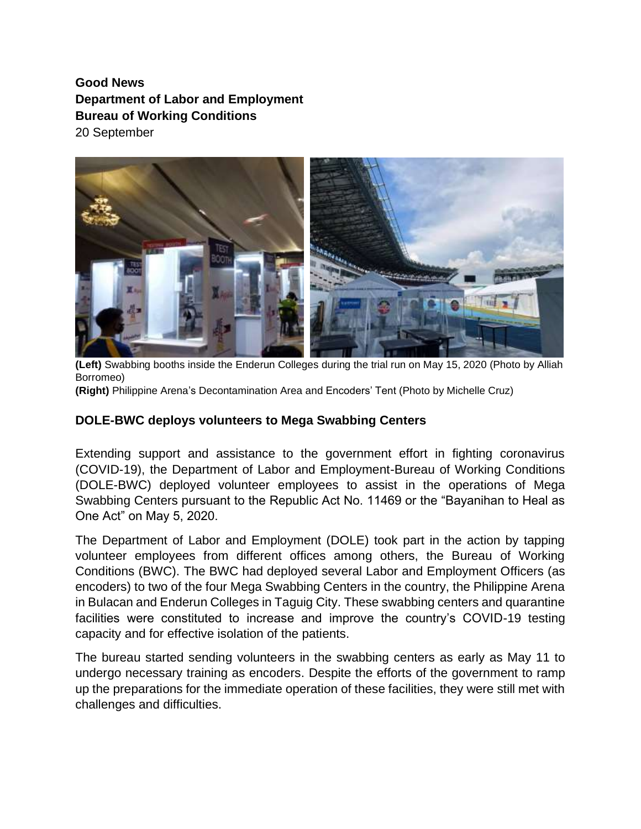## **Good News Department of Labor and Employment Bureau of Working Conditions** 20 September



**(Left)** Swabbing booths inside the Enderun Colleges during the trial run on May 15, 2020 (Photo by Alliah Borromeo)

**(Right)** Philippine Arena's Decontamination Area and Encoders' Tent (Photo by Michelle Cruz)

## **DOLE-BWC deploys volunteers to Mega Swabbing Centers**

Extending support and assistance to the government effort in fighting coronavirus (COVID-19), the Department of Labor and Employment-Bureau of Working Conditions (DOLE-BWC) deployed volunteer employees to assist in the operations of Mega Swabbing Centers pursuant to the Republic Act No. 11469 or the "Bayanihan to Heal as One Act" on May 5, 2020.

The Department of Labor and Employment (DOLE) took part in the action by tapping volunteer employees from different offices among others, the Bureau of Working Conditions (BWC). The BWC had deployed several Labor and Employment Officers (as encoders) to two of the four Mega Swabbing Centers in the country, the Philippine Arena in Bulacan and Enderun Colleges in Taguig City. These swabbing centers and quarantine facilities were constituted to increase and improve the country's COVID-19 testing capacity and for effective isolation of the patients.

The bureau started sending volunteers in the swabbing centers as early as May 11 to undergo necessary training as encoders. Despite the efforts of the government to ramp up the preparations for the immediate operation of these facilities, they were still met with challenges and difficulties.